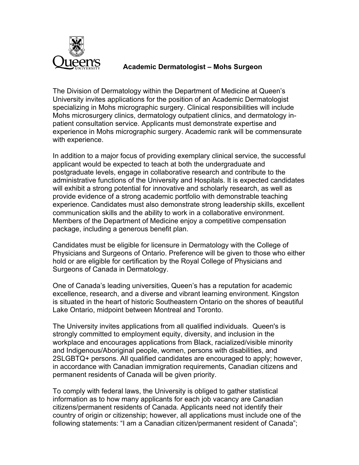

## **Academic Dermatologist – Mohs Surgeon**

The Division of Dermatology within the Department of Medicine at Queen's University invites applications for the position of an Academic Dermatologist specializing in Mohs micrographic surgery. Clinical responsibilities will include Mohs microsurgery clinics, dermatology outpatient clinics, and dermatology inpatient consultation service. Applicants must demonstrate expertise and experience in Mohs micrographic surgery. Academic rank will be commensurate with experience.

In addition to a major focus of providing exemplary clinical service, the successful applicant would be expected to teach at both the undergraduate and postgraduate levels, engage in collaborative research and contribute to the administrative functions of the University and Hospitals. It is expected candidates will exhibit a strong potential for innovative and scholarly research, as well as provide evidence of a strong academic portfolio with demonstrable teaching experience. Candidates must also demonstrate strong leadership skills, excellent communication skills and the ability to work in a collaborative environment. Members of the Department of Medicine enjoy a competitive compensation package, including a generous benefit plan.

Candidates must be eligible for licensure in Dermatology with the College of Physicians and Surgeons of Ontario. Preference will be given to those who either hold or are eligible for certification by the Royal College of Physicians and Surgeons of Canada in Dermatology.

One of Canada's leading universities, Queen's has a reputation for academic excellence, research, and a diverse and vibrant learning environment. Kingston is situated in the heart of historic Southeastern Ontario on the shores of beautiful Lake Ontario, midpoint between Montreal and Toronto.

The University invites applications from all qualified individuals. Queen's is strongly committed to employment equity, diversity, and inclusion in the workplace and encourages applications from Black, racialized/visible minority and Indigenous/Aboriginal people, women, persons with disabilities, and 2SLGBTQ+ persons. All qualified candidates are encouraged to apply; however, in accordance with Canadian immigration requirements, Canadian citizens and permanent residents of Canada will be given priority.

To comply with federal laws, the University is obliged to gather statistical information as to how many applicants for each job vacancy are Canadian citizens/permanent residents of Canada. Applicants need not identify their country of origin or citizenship; however, all applications must include one of the following statements: "I am a Canadian citizen/permanent resident of Canada";